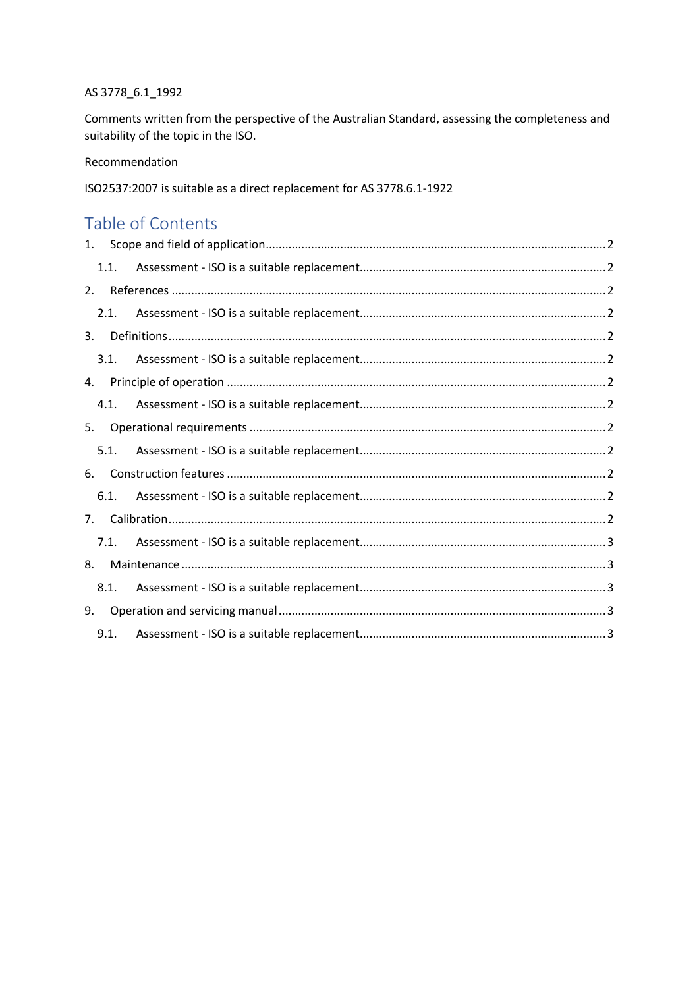#### AS 3778\_6.1\_1992

Comments written from the perspective of the Australian Standard, assessing the completeness and suitability of the topic in the ISO.

Recommendation

ISO2537:2007 is suitable as a direct replacement for AS 3778.6.1-1922

# Table of Contents

| 1. |      |  |
|----|------|--|
|    | 1.1. |  |
| 2. |      |  |
|    | 2.1. |  |
| 3. |      |  |
|    | 3.1. |  |
| 4. |      |  |
|    | 4.1. |  |
| 5. |      |  |
|    | 5.1. |  |
| 6. |      |  |
|    | 6.1. |  |
| 7. |      |  |
|    | 7.1. |  |
| 8. |      |  |
|    | 8.1. |  |
| 9. |      |  |
|    | 9.1. |  |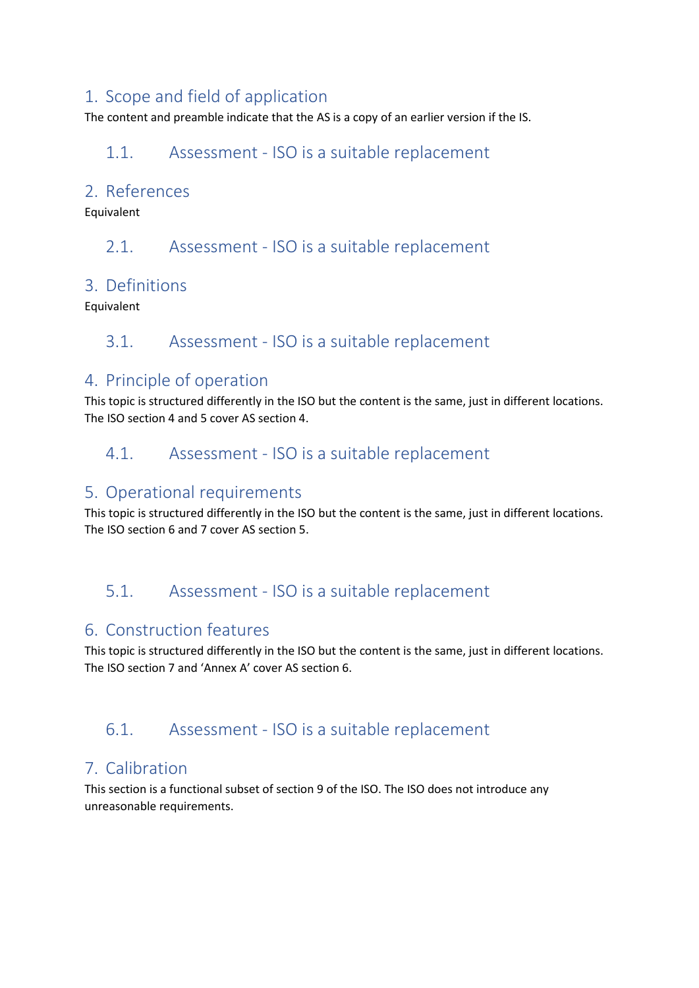### 1. Scope and field of application

The content and preamble indicate that the AS is a copy of an earlier version if the IS.

### 1.1. Assessment - ISO is a suitable replacement

#### 2. References

Equivalent

2.1. Assessment - ISO is a suitable replacement

#### 3. Definitions

Equivalent

### 3.1. Assessment - ISO is a suitable replacement

### 4. Principle of operation

This topic is structured differently in the ISO but the content is the same, just in different locations. The ISO section 4 and 5 cover AS section 4.

### 4.1. Assessment - ISO is a suitable replacement

#### 5. Operational requirements

This topic is structured differently in the ISO but the content is the same, just in different locations. The ISO section 6 and 7 cover AS section 5.

## 5.1. Assessment - ISO is a suitable replacement

### 6. Construction features

This topic is structured differently in the ISO but the content is the same, just in different locations. The ISO section 7 and 'Annex A' cover AS section 6.

## 6.1. Assessment - ISO is a suitable replacement

## 7. Calibration

This section is a functional subset of section 9 of the ISO. The ISO does not introduce any unreasonable requirements.